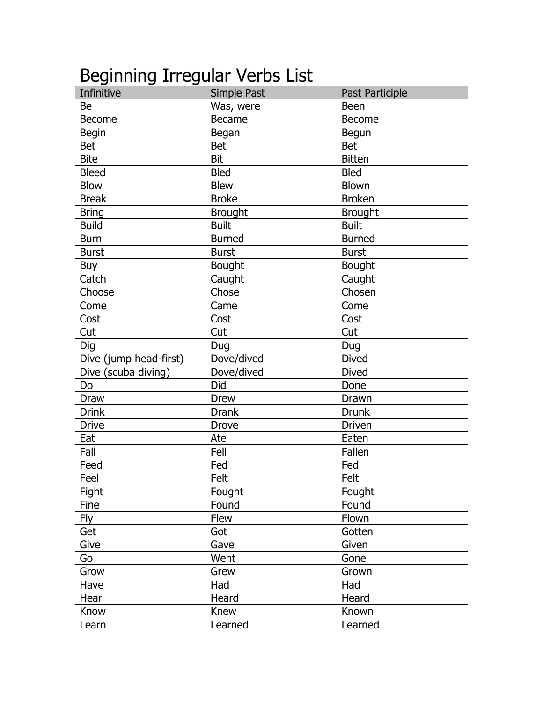## Beginning Irregular Verbs List

| Infinitive             | Simple Past    | Past Participle |
|------------------------|----------------|-----------------|
| Be                     | Was, were      | <b>Been</b>     |
| <b>Become</b>          | <b>Became</b>  | <b>Become</b>   |
| <b>Begin</b>           | Began          | Begun           |
| <b>Bet</b>             | <b>Bet</b>     | <b>Bet</b>      |
| <b>Bite</b>            | <b>Bit</b>     | <b>Bitten</b>   |
| <b>Bleed</b>           | <b>Bled</b>    | <b>Bled</b>     |
| <b>Blow</b>            | <b>Blew</b>    | <b>Blown</b>    |
| <b>Break</b>           | <b>Broke</b>   | <b>Broken</b>   |
| <b>Bring</b>           | <b>Brought</b> | <b>Brought</b>  |
| <b>Build</b>           | <b>Built</b>   | <b>Built</b>    |
| <b>Burn</b>            | <b>Burned</b>  | <b>Burned</b>   |
| <b>Burst</b>           | <b>Burst</b>   | <b>Burst</b>    |
| Buy                    | <b>Bought</b>  | <b>Bought</b>   |
| Catch                  | Caught         | Caught          |
| Choose                 | Chose          | Chosen          |
| Come                   | Came           | Come            |
| Cost                   | Cost           | Cost            |
| Cut                    | Cut            | Cut             |
| Dig                    | Dug            | Dug             |
| Dive (jump head-first) | Dove/dived     | <b>Dived</b>    |
| Dive (scuba diving)    | Dove/dived     | <b>Dived</b>    |
| Do                     | Did            | Done            |
| Draw                   | <b>Drew</b>    | Drawn           |
| <b>Drink</b>           | <b>Drank</b>   | Drunk           |
| <b>Drive</b>           | Drove          | Driven          |
| Eat                    | Ate            | Eaten           |
| Fall                   | Fell           | Fallen          |
| Feed                   | Fed            | Fed             |
| Feel                   | Felt           | Felt            |
| Fight                  | Fought         | Fought          |
| Fine                   | Found          | Found           |
| <b>Fly</b>             | <b>Flew</b>    | Flown           |
| Get                    | Got            | Gotten          |
| Give                   | Gave           | Given           |
| Go                     | Went           | Gone            |
| Grow                   | Grew           | Grown           |
| Have                   | Had            | Had             |
| Hear                   | Heard          | Heard           |
| Know                   | Knew           | Known           |
| Learn                  | Learned        | Learned         |